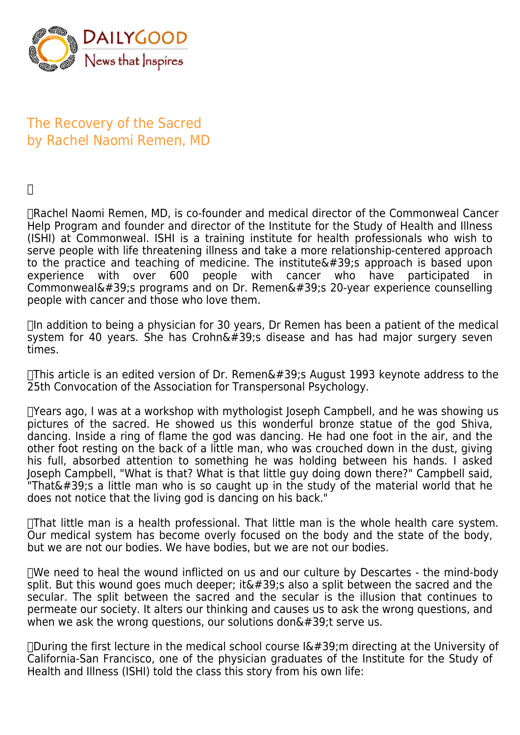

## The Recovery of the Sacred by Rachel Naomi Remen, MD

 $\Box$ 

 Rachel Naomi Remen, MD, is co-founder and medical director of the Commonweal Cancer Help Program and founder and director of the Institute for the Study of Health and Illness (ISHI) at Commonweal. ISHI is a training institute for health professionals who wish to serve people with life threatening illness and take a more relationship-centered approach to the practice and teaching of medicine. The institute  $\&\#39$ ; approach is based upon experience with over 600 people with cancer who have participated in Commonweal's programs and on Dr. Remen's 20-year experience counselling people with cancer and those who love them.

 $\Box$ In addition to being a physician for 30 years, Dr Remen has been a patient of the medical system for 40 years. She has Crohn $\&\#39$ ; disease and has had major surgery seven times.

 $\Box$ This article is an edited version of Dr. Remen's August 1993 keynote address to the 25th Convocation of the Association for Transpersonal Psychology.

 Years ago, I was at a workshop with mythologist Joseph Campbell, and he was showing us pictures of the sacred. He showed us this wonderful bronze statue of the god Shiva, dancing. Inside a ring of flame the god was dancing. He had one foot in the air, and the other foot resting on the back of a little man, who was crouched down in the dust, giving his full, absorbed attention to something he was holding between his hands. I asked Joseph Campbell, "What is that? What is that little guy doing down there?" Campbell said, "That's a little man who is so caught up in the study of the material world that he does not notice that the living god is dancing on his back."

 That little man is a health professional. That little man is the whole health care system. Our medical system has become overly focused on the body and the state of the body, but we are not our bodies. We have bodies, but we are not our bodies.

 We need to heal the wound inflicted on us and our culture by Descartes - the mind-body split. But this wound goes much deeper; it  $\&\#39$ ; also a split between the sacred and the secular. The split between the sacred and the secular is the illusion that continues to permeate our society. It alters our thinking and causes us to ask the wrong questions, and when we ask the wrong questions, our solutions don $\&\#39$ ; t serve us.

 $\Box$ During the first lecture in the medical school course  $I\'$ ; m directing at the University of California-San Francisco, one of the physician graduates of the Institute for the Study of Health and Illness (ISHI) told the class this story from his own life: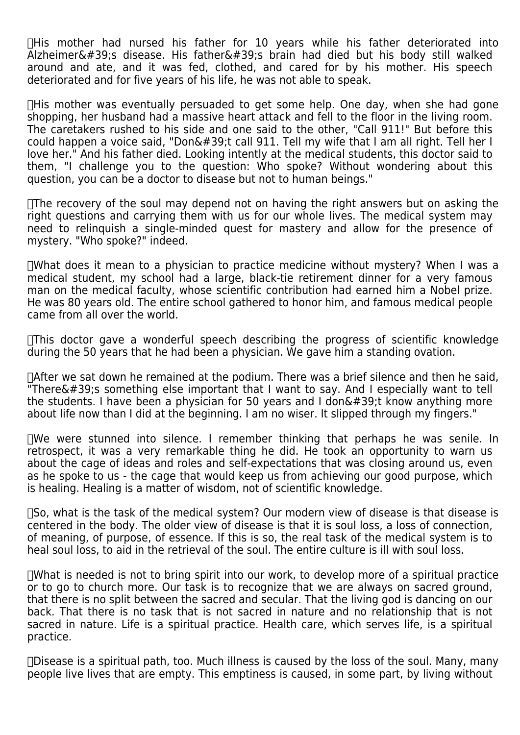$\Box$ His mother had nursed his father for 10 years while his father deteriorated into  $\overline{A}$ Izheimer&#39:s disease. His father&#39:s brain had died but his body still walked around and ate, and it was fed, clothed, and cared for by his mother. His speech deteriorated and for five years of his life, he was not able to speak.

 His mother was eventually persuaded to get some help. One day, when she had gone shopping, her husband had a massive heart attack and fell to the floor in the living room. The caretakers rushed to his side and one said to the other, "Call 911!" But before this could happen a voice said, "Don't call 911. Tell my wife that I am all right. Tell her I love her." And his father died. Looking intently at the medical students, this doctor said to them, "I challenge you to the question: Who spoke? Without wondering about this question, you can be a doctor to disease but not to human beings."

 $\Box$ The recovery of the soul may depend not on having the right answers but on asking the right questions and carrying them with us for our whole lives. The medical system may need to relinquish a single-minded quest for mastery and allow for the presence of mystery. "Who spoke?" indeed.

 What does it mean to a physician to practice medicine without mystery? When I was a medical student, my school had a large, black-tie retirement dinner for a very famous man on the medical faculty, whose scientific contribution had earned him a Nobel prize. He was 80 years old. The entire school gathered to honor him, and famous medical people came from all over the world.

 This doctor gave a wonderful speech describing the progress of scientific knowledge during the 50 years that he had been a physician. We gave him a standing ovation.

 After we sat down he remained at the podium. There was a brief silence and then he said,  $\overline{r}$ There's something else important that I want to say. And I especially want to tell the students. I have been a physician for 50 years and I don $\&\#39$ ; know anything more about life now than I did at the beginning. I am no wiser. It slipped through my fingers."

 We were stunned into silence. I remember thinking that perhaps he was senile. In retrospect, it was a very remarkable thing he did. He took an opportunity to warn us about the cage of ideas and roles and self-expectations that was closing around us, even as he spoke to us - the cage that would keep us from achieving our good purpose, which is healing. Healing is a matter of wisdom, not of scientific knowledge.

 So, what is the task of the medical system? Our modern view of disease is that disease is centered in the body. The older view of disease is that it is soul loss, a loss of connection, of meaning, of purpose, of essence. If this is so, the real task of the medical system is to heal soul loss, to aid in the retrieval of the soul. The entire culture is ill with soul loss.

 What is needed is not to bring spirit into our work, to develop more of a spiritual practice or to go to church more. Our task is to recognize that we are always on sacred ground. that there is no split between the sacred and secular. That the living god is dancing on our back. That there is no task that is not sacred in nature and no relationship that is not sacred in nature. Life is a spiritual practice. Health care, which serves life, is a spiritual practice.

 $\Box$ Disease is a spiritual path, too. Much illness is caused by the loss of the soul. Many, many people live lives that are empty. This emptiness is caused, in some part, by living without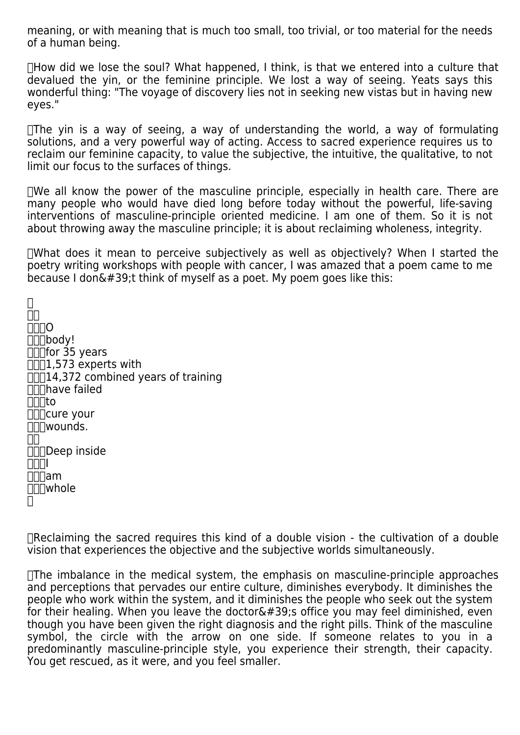meaning, or with meaning that is much too small, too trivial, or too material for the needs of a human being.

 How did we lose the soul? What happened, I think, is that we entered into a culture that devalued the yin, or the feminine principle. We lost a way of seeing. Yeats says this wonderful thing: "The voyage of discovery lies not in seeking new vistas but in having new eyes."

 $\Box$ The yin is a way of seeing, a way of understanding the world, a way of formulating solutions, and a very powerful way of acting. Access to sacred experience requires us to reclaim our feminine capacity, to value the subjective, the intuitive, the qualitative, to not limit our focus to the surfaces of things.

 $\Box$ We all know the power of the masculine principle, especially in health care. There are many people who would have died long before today without the powerful, life-saving interventions of masculine-principle oriented medicine. I am one of them. So it is not about throwing away the masculine principle; it is about reclaiming wholeness, integrity.

 What does it mean to perceive subjectively as well as objectively? When I started the poetry writing workshops with people with cancer, I was amazed that a poem came to me because I don $\&\#39$ ; t think of myself as a poet. My poem goes like this:

 $\Box$  $\Box$ **NNNO**  body!  $\Box\Box$ for 35 years  $\Pi$ ,573 experts with  $\Box$  $\Box$ 14,372 combined years of training **have failed**  $\Pi\Pi$ to  $\Box\Box$ cure your **∏∏wounds.**  $\Box$ **DODER** inside **NNNI**  am whole  $\Box$ 

 Reclaiming the sacred requires this kind of a double vision - the cultivation of a double vision that experiences the objective and the subjective worlds simultaneously.

 The imbalance in the medical system, the emphasis on masculine-principle approaches and perceptions that pervades our entire culture, diminishes everybody. It diminishes the people who work within the system, and it diminishes the people who seek out the system for their healing. When you leave the doctor $\&\#39$ ; office you may feel diminished, even though you have been given the right diagnosis and the right pills. Think of the masculine symbol, the circle with the arrow on one side. If someone relates to you in a predominantly masculine-principle style, you experience their strength, their capacity. You get rescued, as it were, and you feel smaller.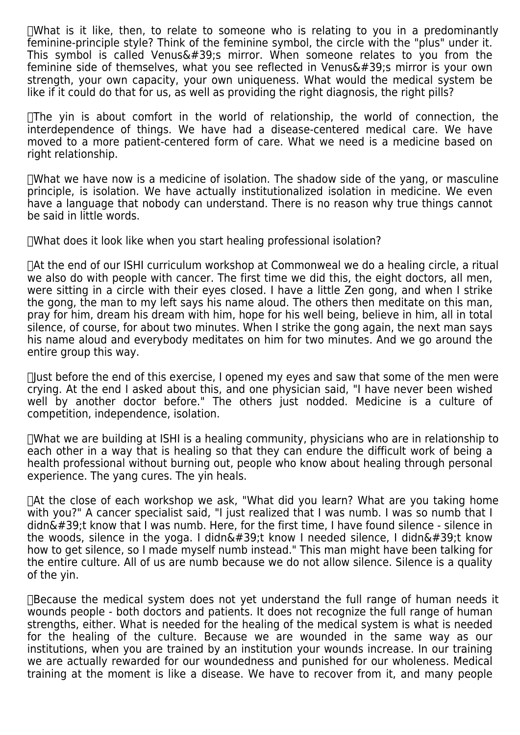$\Box$ What is it like, then, to relate to someone who is relating to you in a predominantly feminine-principle style? Think of the feminine symbol, the circle with the "plus" under it. This symbol is called Venus&#39:s mirror. When someone relates to you from the feminine side of themselves, what you see reflected in Venus $'$ ; mirror is your own strength, your own capacity, your own uniqueness. What would the medical system be like if it could do that for us, as well as providing the right diagnosis, the right pills?

 $\Box$ The yin is about comfort in the world of relationship, the world of connection, the interdependence of things. We have had a disease-centered medical care. We have moved to a more patient-centered form of care. What we need is a medicine based on right relationship.

 What we have now is a medicine of isolation. The shadow side of the yang, or masculine principle, is isolation. We have actually institutionalized isolation in medicine. We even have a language that nobody can understand. There is no reason why true things cannot be said in little words.

 What does it look like when you start healing professional isolation?

 At the end of our ISHI curriculum workshop at Commonweal we do a healing circle, a ritual we also do with people with cancer. The first time we did this, the eight doctors, all men, were sitting in a circle with their eyes closed. I have a little Zen gong, and when I strike the gong, the man to my left says his name aloud. The others then meditate on this man, pray for him, dream his dream with him, hope for his well being, believe in him, all in total silence, of course, for about two minutes. When I strike the gong again, the next man says his name aloud and everybody meditates on him for two minutes. And we go around the entire group this way.

 $\Box$  as before the end of this exercise, I opened my eyes and saw that some of the men were crying. At the end I asked about this, and one physician said, "I have never been wished well by another doctor before." The others just nodded. Medicine is a culture of competition, independence, isolation.

 What we are building at ISHI is a healing community, physicians who are in relationship to each other in a way that is healing so that they can endure the difficult work of being a health professional without burning out, people who know about healing through personal experience. The yang cures. The yin heals.

 At the close of each workshop we ask, "What did you learn? What are you taking home with you?" A cancer specialist said, "I just realized that I was numb. I was so numb that I didn $\&\#39$ ;t know that I was numb. Here, for the first time, I have found silence - silence in the woods, silence in the yoga. I didn $\&\#39$ ;t know I needed silence, I didn $\&\#39$ ;t know how to get silence, so I made myself numb instead." This man might have been talking for the entire culture. All of us are numb because we do not allow silence. Silence is a quality of the yin.

 Because the medical system does not yet understand the full range of human needs it wounds people - both doctors and patients. It does not recognize the full range of human strengths, either. What is needed for the healing of the medical system is what is needed for the healing of the culture. Because we are wounded in the same way as our institutions, when you are trained by an institution your wounds increase. In our training we are actually rewarded for our woundedness and punished for our wholeness. Medical training at the moment is like a disease. We have to recover from it, and many people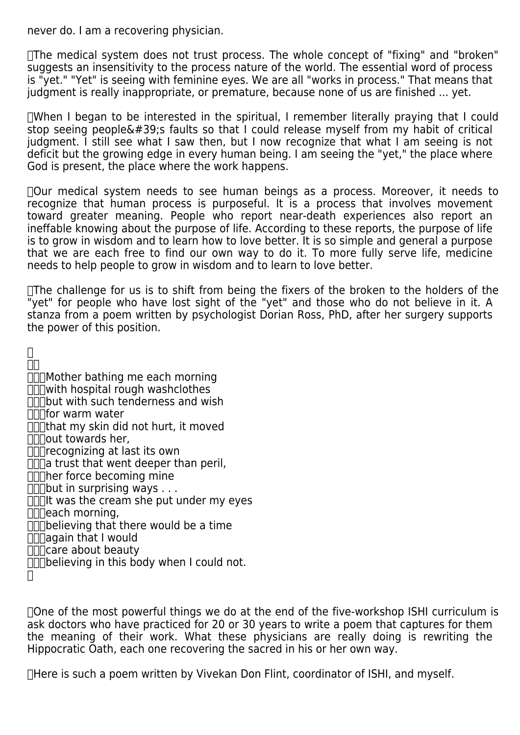never do. I am a recovering physician.

 The medical system does not trust process. The whole concept of "fixing" and "broken" suggests an insensitivity to the process nature of the world. The essential word of process is "yet." "Yet" is seeing with feminine eyes. We are all "works in process." That means that judgment is really inappropriate, or premature, because none of us are finished ... yet.

 When I began to be interested in the spiritual, I remember literally praying that I could stop seeing people $'$ ; faults so that I could release myself from my habit of critical judgment. I still see what I saw then, but I now recognize that what I am seeing is not deficit but the growing edge in every human being. I am seeing the "yet," the place where God is present, the place where the work happens.

 Our medical system needs to see human beings as a process. Moreover, it needs to recognize that human process is purposeful. It is a process that involves movement toward greater meaning. People who report near-death experiences also report an ineffable knowing about the purpose of life. According to these reports, the purpose of life is to grow in wisdom and to learn how to love better. It is so simple and general a purpose that we are each free to find our own way to do it. To more fully serve life, medicine needs to help people to grow in wisdom and to learn to love better.

 The challenge for us is to shift from being the fixers of the broken to the holders of the "yet" for people who have lost sight of the "yet" and those who do not believe in it. A stanza from a poem written by psychologist Dorian Ross, PhD, after her surgery supports the power of this position.

 $\Box$  $\Box$ 

- **MOTHER** bathing me each morning
- $\Pi$  with hospital rough washclothes
- $\Pi$  $\Pi$ but with such tenderness and wish
- **IND** for warm water
- $\overline{\Pi}$ That my skin did not hurt, it moved
- $\Pi$  $\Pi$  $\Omega$ out towards her,
- ∏∏recognizing at last its own
- $\Pi$  $\Pi$ a trust that went deeper than peril,
- **Innitative** becoming mine
- $\Box$ but in surprising ways . . .
- $\Pi$ IIt was the cream she put under my eyes
- **Inneach morning,**
- $\Box$ believing that there would be a time
- $\Pi$ again that I would
- **nnicare about beauty**
- $\Pi$ believing in this body when I could not.

 $\Box$ 

 One of the most powerful things we do at the end of the five-workshop ISHI curriculum is ask doctors who have practiced for 20 or 30 years to write a poem that captures for them the meaning of their work. What these physicians are really doing is rewriting the Hippocratic Oath, each one recovering the sacred in his or her own way.

 Here is such a poem written by Vivekan Don Flint, coordinator of ISHI, and myself.